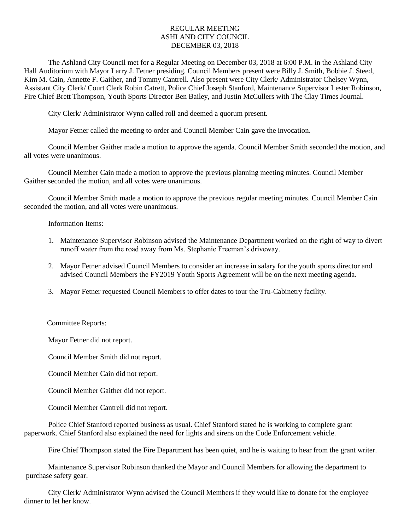## REGULAR MEETING ASHLAND CITY COUNCIL DECEMBER 03, 2018

The Ashland City Council met for a Regular Meeting on December 03, 2018 at 6:00 P.M. in the Ashland City Hall Auditorium with Mayor Larry J. Fetner presiding. Council Members present were Billy J. Smith, Bobbie J. Steed, Kim M. Cain, Annette F. Gaither, and Tommy Cantrell. Also present were City Clerk/ Administrator Chelsey Wynn, Assistant City Clerk/ Court Clerk Robin Catrett, Police Chief Joseph Stanford, Maintenance Supervisor Lester Robinson, Fire Chief Brett Thompson, Youth Sports Director Ben Bailey, and Justin McCullers with The Clay Times Journal.

City Clerk/ Administrator Wynn called roll and deemed a quorum present.

Mayor Fetner called the meeting to order and Council Member Cain gave the invocation.

Council Member Gaither made a motion to approve the agenda. Council Member Smith seconded the motion, and all votes were unanimous.

Council Member Cain made a motion to approve the previous planning meeting minutes. Council Member Gaither seconded the motion, and all votes were unanimous.

Council Member Smith made a motion to approve the previous regular meeting minutes. Council Member Cain seconded the motion, and all votes were unanimous.

Information Items:

- 1. Maintenance Supervisor Robinson advised the Maintenance Department worked on the right of way to divert runoff water from the road away from Ms. Stephanie Freeman's driveway.
- 2. Mayor Fetner advised Council Members to consider an increase in salary for the youth sports director and advised Council Members the FY2019 Youth Sports Agreement will be on the next meeting agenda.
- 3. Mayor Fetner requested Council Members to offer dates to tour the Tru-Cabinetry facility.

Committee Reports:

Mayor Fetner did not report.

Council Member Smith did not report.

Council Member Cain did not report.

Council Member Gaither did not report.

Council Member Cantrell did not report.

Police Chief Stanford reported business as usual. Chief Stanford stated he is working to complete grant paperwork. Chief Stanford also explained the need for lights and sirens on the Code Enforcement vehicle.

Fire Chief Thompson stated the Fire Department has been quiet, and he is waiting to hear from the grant writer.

Maintenance Supervisor Robinson thanked the Mayor and Council Members for allowing the department to purchase safety gear.

City Clerk/ Administrator Wynn advised the Council Members if they would like to donate for the employee dinner to let her know.